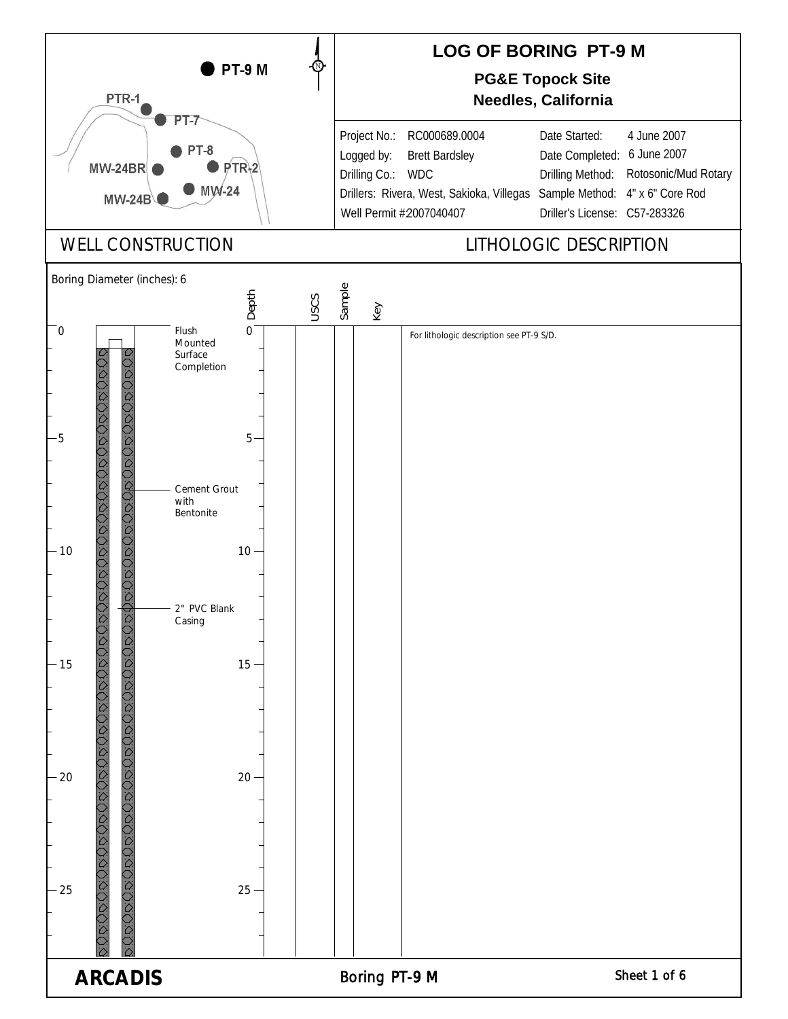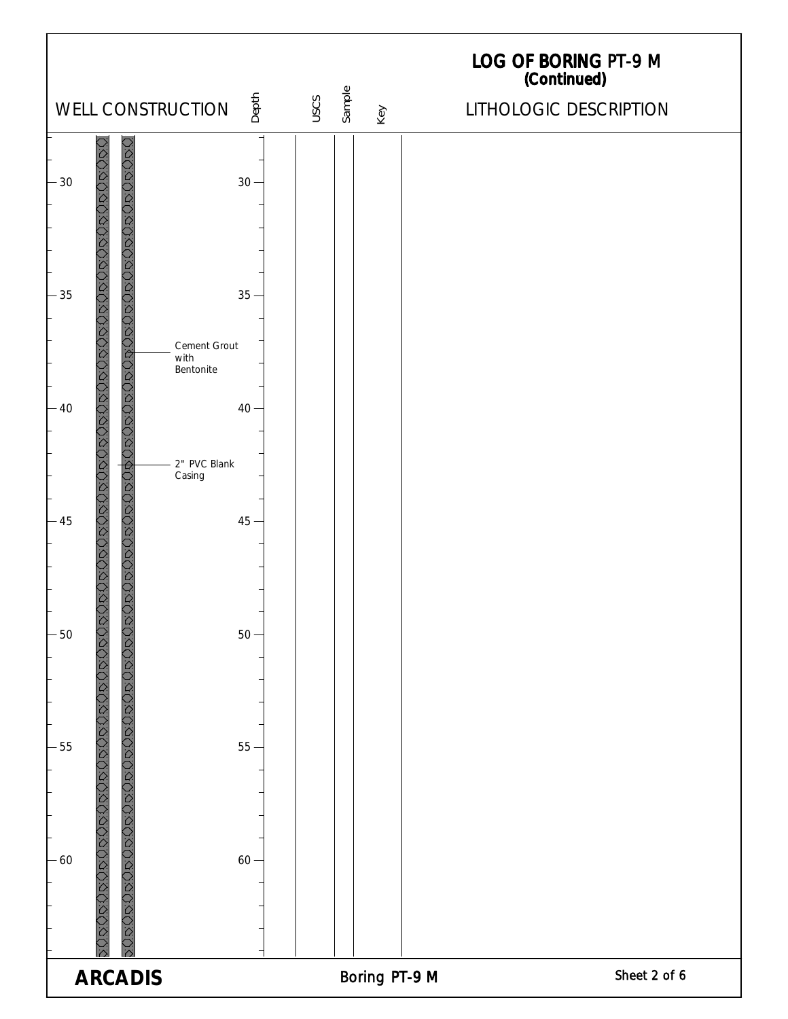| Depth<br>WELL CONSTRUCTION                                                                                  | USCS | Sample<br>Key | LOG OF BORING PT-9 M<br>(Continued)<br>LITHOLOGIC DESCRIPTION |
|-------------------------------------------------------------------------------------------------------------|------|---------------|---------------------------------------------------------------|
| $-30$<br>$30 -$                                                                                             |      |               |                                                               |
| 20030202020202020202020202020202020<br>クリク<br>$-35$<br>$35 -$<br>Cement Grout                               |      |               |                                                               |
| with<br>Bentonite<br>$\hat{\mathcal{L}}$<br>$-40$<br>$40 -$<br>2" PVC Blank                                 |      |               |                                                               |
| <b>DROGOGOGOGOGOGOGO</b><br>Casing<br>$45 -$<br>$-45$                                                       |      |               |                                                               |
| $-50$<br>$50 -$<br>JQ                                                                                       |      |               |                                                               |
| $-55$<br>$55 -$                                                                                             |      |               |                                                               |
| <u>γαδασοάντος ασοπορούσος στονομονος στονοδασ</u><br><b>DRGC</b><br>$-60$<br>$60 -$<br>$\hat{\mathcal{Q}}$ |      |               |                                                               |
| <b>ARCADIS</b>                                                                                              |      | Boring PT-9 M | Sheet 2 of 6                                                  |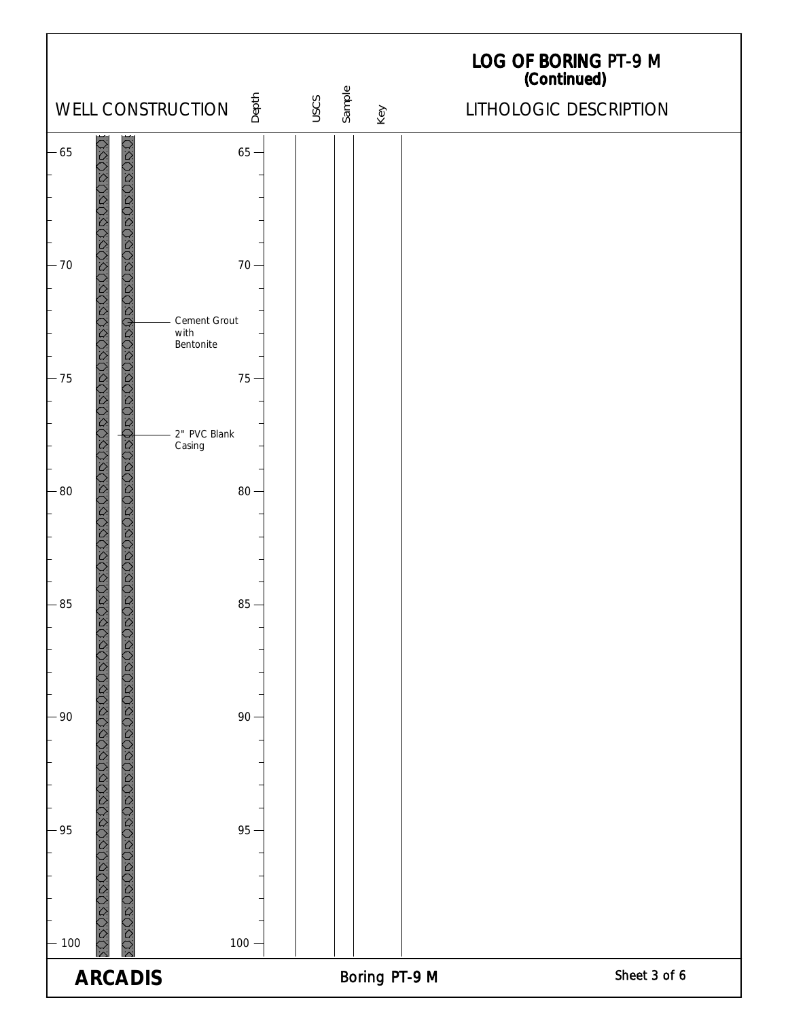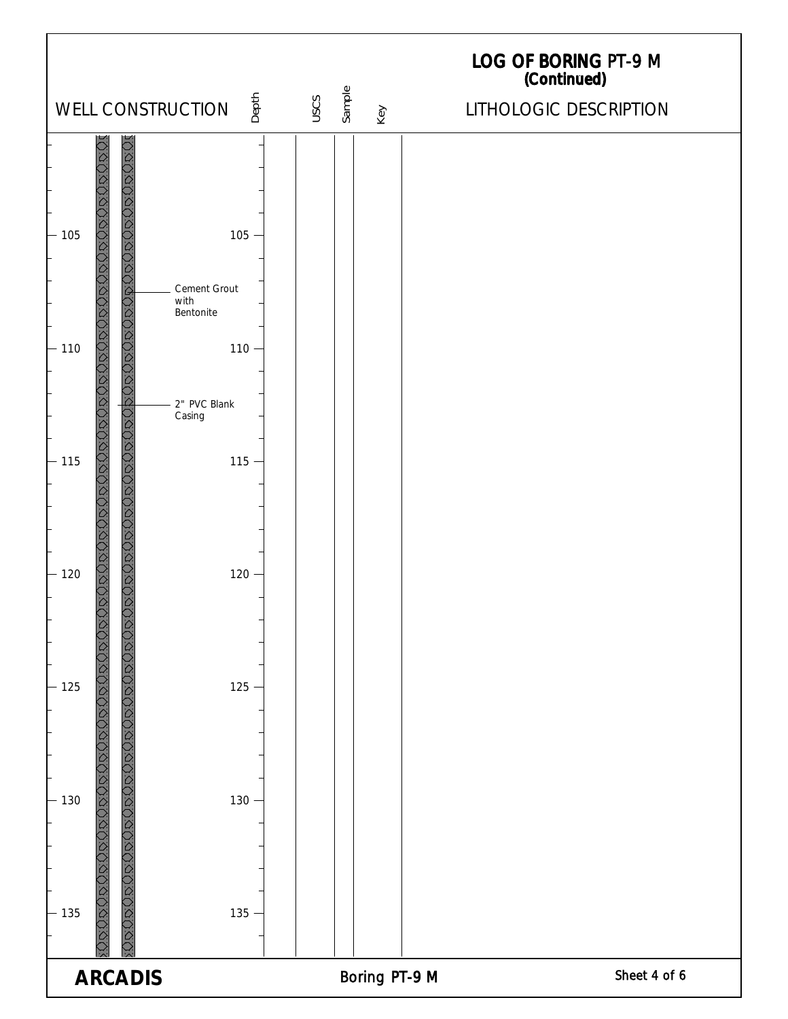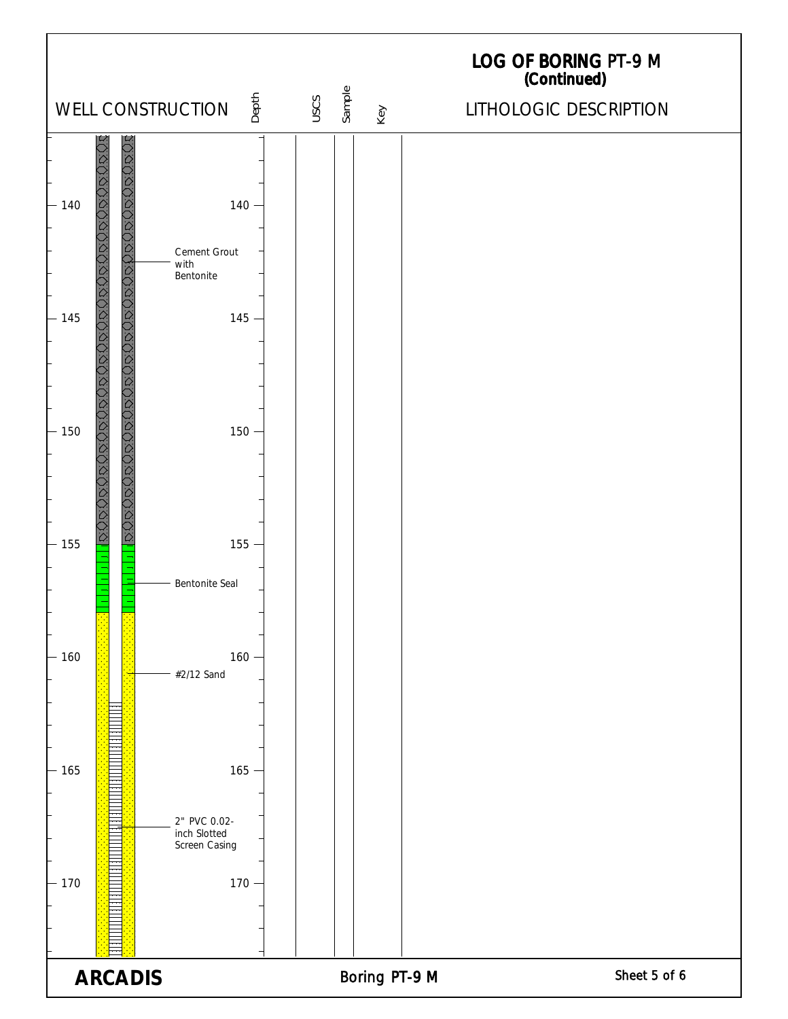